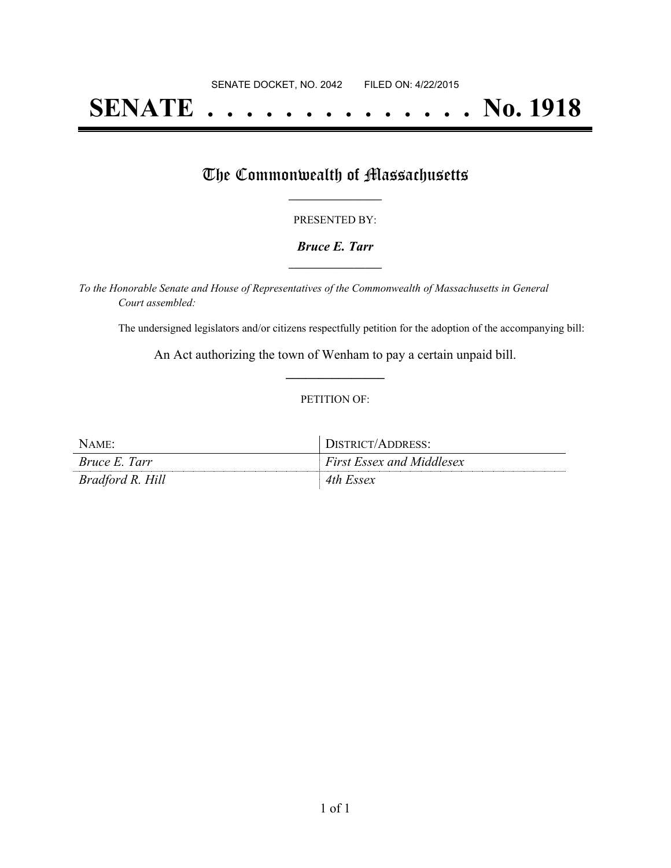# **SENATE . . . . . . . . . . . . . . No. 1918**

## The Commonwealth of Massachusetts

#### PRESENTED BY:

#### *Bruce E. Tarr* **\_\_\_\_\_\_\_\_\_\_\_\_\_\_\_\_\_**

*To the Honorable Senate and House of Representatives of the Commonwealth of Massachusetts in General Court assembled:*

The undersigned legislators and/or citizens respectfully petition for the adoption of the accompanying bill:

An Act authorizing the town of Wenham to pay a certain unpaid bill. **\_\_\_\_\_\_\_\_\_\_\_\_\_\_\_**

#### PETITION OF:

| NAME:            | DISTRICT/ADDRESS:                |
|------------------|----------------------------------|
| Bruce E. Tarr    | <b>First Essex and Middlesex</b> |
| Bradford R. Hill | 4th Essex                        |